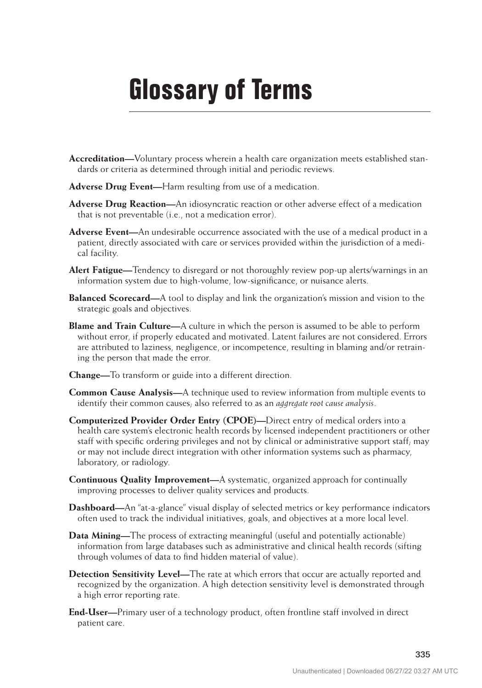## **Glossary of Terms**

- **Accreditation—**Voluntary process wherein a health care organization meets established standards or criteria as determined through initial and periodic reviews.
- **Adverse Drug Event—**Harm resulting from use of a medication.
- **Adverse Drug Reaction—**An idiosyncratic reaction or other adverse effect of a medication that is not preventable (i.e., not a medication error).
- **Adverse Event—**An undesirable occurrence associated with the use of a medical product in a patient, directly associated with care or services provided within the jurisdiction of a medical facility.
- **Alert Fatigue—**Tendency to disregard or not thoroughly review pop-up alerts/warnings in an information system due to high-volume, low-significance, or nuisance alerts.
- **Balanced Scorecard—**A tool to display and link the organization's mission and vision to the strategic goals and objectives.
- **Blame and Train Culture—**A culture in which the person is assumed to be able to perform without error, if properly educated and motivated. Latent failures are not considered. Errors are attributed to laziness, negligence, or incompetence, resulting in blaming and/or retraining the person that made the error.
- **Change—**To transform or guide into a different direction.
- **Common Cause Analysis—**A technique used to review information from multiple events to identify their common causes; also referred to as an *aggregate root cause analysis*.
- **Computerized Provider Order Entry (CPOE)—**Direct entry of medical orders into a health care system's electronic health records by licensed independent practitioners or other staff with specific ordering privileges and not by clinical or administrative support staff; may or may not include direct integration with other information systems such as pharmacy, laboratory, or radiology.
- **Continuous Quality Improvement—**A systematic, organized approach for continually improving processes to deliver quality services and products.
- **Dashboard—**An "at-a-glance" visual display of selected metrics or key performance indicators often used to track the individual initiatives, goals, and objectives at a more local level.
- **Data Mining—**The process of extracting meaningful (useful and potentially actionable) information from large databases such as administrative and clinical health records (sifting through volumes of data to find hidden material of value).
- **Detection Sensitivity Level—**The rate at which errors that occur are actually reported and recognized by the organization. A high detection sensitivity level is demonstrated through a high error reporting rate.
- **End-User—**Primary user of a technology product, often frontline staff involved in direct patient care.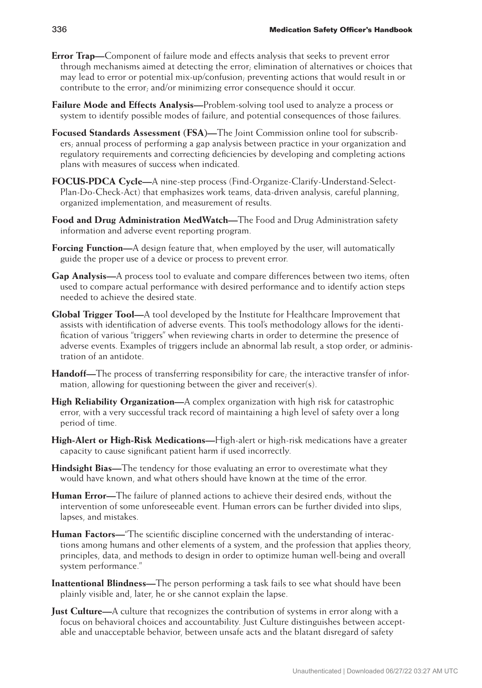- **Error Trap—**Component of failure mode and effects analysis that seeks to prevent error through mechanisms aimed at detecting the error; elimination of alternatives or choices that may lead to error or potential mix-up/confusion; preventing actions that would result in or contribute to the error; and/or minimizing error consequence should it occur.
- **Failure Mode and Effects Analysis—**Problem-solving tool used to analyze a process or system to identify possible modes of failure, and potential consequences of those failures.
- **Focused Standards Assessment (FSA)—**The Joint Commission online tool for subscribers; annual process of performing a gap analysis between practice in your organization and regulatory requirements and correcting deficiencies by developing and completing actions plans with measures of success when indicated.
- **FOCUS-PDCA Cycle—**A nine-step process (Find-Organize-Clarify-Understand-Select-Plan-Do-Check-Act) that emphasizes work teams, data-driven analysis, careful planning, organized implementation, and measurement of results.
- **Food and Drug Administration MedWatch—**The Food and Drug Administration safety information and adverse event reporting program.
- **Forcing Function—**A design feature that, when employed by the user, will automatically guide the proper use of a device or process to prevent error.
- **Gap Analysis—**A process tool to evaluate and compare differences between two items; often used to compare actual performance with desired performance and to identify action steps needed to achieve the desired state.
- **Global Trigger Tool—**A tool developed by the Institute for Healthcare Improvement that assists with identification of adverse events. This tool's methodology allows for the identification of various "triggers" when reviewing charts in order to determine the presence of adverse events. Examples of triggers include an abnormal lab result, a stop order, or administration of an antidote.
- **Handoff—**The process of transferring responsibility for care; the interactive transfer of information, allowing for questioning between the giver and receiver(s).
- **High Reliability Organization—**A complex organization with high risk for catastrophic error, with a very successful track record of maintaining a high level of safety over a long period of time.
- **High-Alert or High-Risk Medications—**High-alert or high-risk medications have a greater capacity to cause significant patient harm if used incorrectly.
- **Hindsight Bias—**The tendency for those evaluating an error to overestimate what they would have known, and what others should have known at the time of the error.
- **Human Error—**The failure of planned actions to achieve their desired ends, without the intervention of some unforeseeable event. Human errors can be further divided into slips, lapses, and mistakes.
- **Human Factors—**"The scientific discipline concerned with the understanding of interactions among humans and other elements of a system, and the profession that applies theory, principles, data, and methods to design in order to optimize human well-being and overall system performance."
- **Inattentional Blindness—**The person performing a task fails to see what should have been plainly visible and, later, he or she cannot explain the lapse.
- **Just Culture—**A culture that recognizes the contribution of systems in error along with a focus on behavioral choices and accountability. Just Culture distinguishes between acceptable and unacceptable behavior, between unsafe acts and the blatant disregard of safety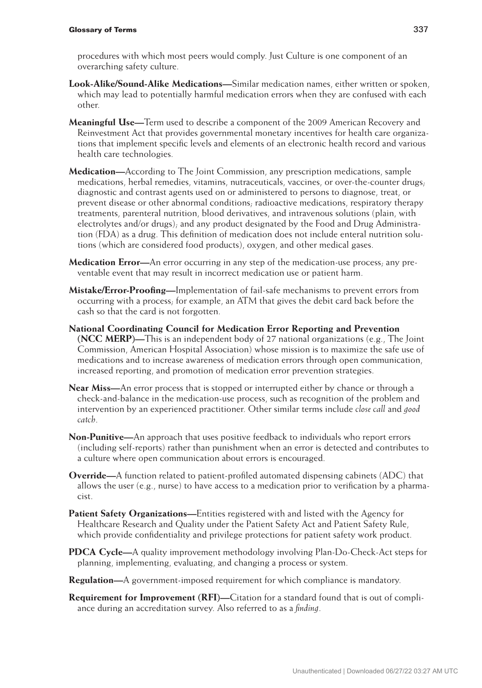## **Glossary of Terms** 337

procedures with which most peers would comply. Just Culture is one component of an overarching safety culture.

- **Look-Alike/Sound-Alike Medications—**Similar medication names, either written or spoken, which may lead to potentially harmful medication errors when they are confused with each other.
- **Meaningful Use—**Term used to describe a component of the 2009 American Recovery and Reinvestment Act that provides governmental monetary incentives for health care organizations that implement specific levels and elements of an electronic health record and various health care technologies.
- **Medication—**According to The Joint Commission, any prescription medications, sample medications, herbal remedies, vitamins, nutraceuticals, vaccines, or over-the-counter drugs; diagnostic and contrast agents used on or administered to persons to diagnose, treat, or prevent disease or other abnormal conditions; radioactive medications, respiratory therapy treatments, parenteral nutrition, blood derivatives, and intravenous solutions (plain, with electrolytes and/or drugs); and any product designated by the Food and Drug Administration (FDA) as a drug. This definition of medication does not include enteral nutrition solutions (which are considered food products), oxygen, and other medical gases.
- **Medication Error—**An error occurring in any step of the medication-use process; any preventable event that may result in incorrect medication use or patient harm.
- **Mistake/Error-Proofing—**Implementation of fail-safe mechanisms to prevent errors from occurring with a process; for example, an ATM that gives the debit card back before the cash so that the card is not forgotten.
- **National Coordinating Council for Medication Error Reporting and Prevention (NCC MERP)—**This is an independent body of 27 national organizations (e.g., The Joint Commission, American Hospital Association) whose mission is to maximize the safe use of medications and to increase awareness of medication errors through open communication, increased reporting, and promotion of medication error prevention strategies.
- **Near Miss—**An error process that is stopped or interrupted either by chance or through a check-and-balance in the medication-use process, such as recognition of the problem and intervention by an experienced practitioner. Other similar terms include *close call* and *good catch*.
- **Non-Punitive—**An approach that uses positive feedback to individuals who report errors (including self-reports) rather than punishment when an error is detected and contributes to a culture where open communication about errors is encouraged.
- **Override—**A function related to patient-profiled automated dispensing cabinets (ADC) that allows the user  $(e.g.,$  nurse) to have access to a medication prior to verification by a pharmacist.
- **Patient Safety Organizations—**Entities registered with and listed with the Agency for Healthcare Research and Quality under the Patient Safety Act and Patient Safety Rule, which provide confidentiality and privilege protections for patient safety work product.
- **PDCA Cycle—**A quality improvement methodology involving Plan-Do-Check-Act steps for planning, implementing, evaluating, and changing a process or system.
- **Regulation—**A government-imposed requirement for which compliance is mandatory.
- **Requirement for Improvement (RFI)—**Citation for a standard found that is out of compliance during an accreditation survey. Also referred to as a *finding*.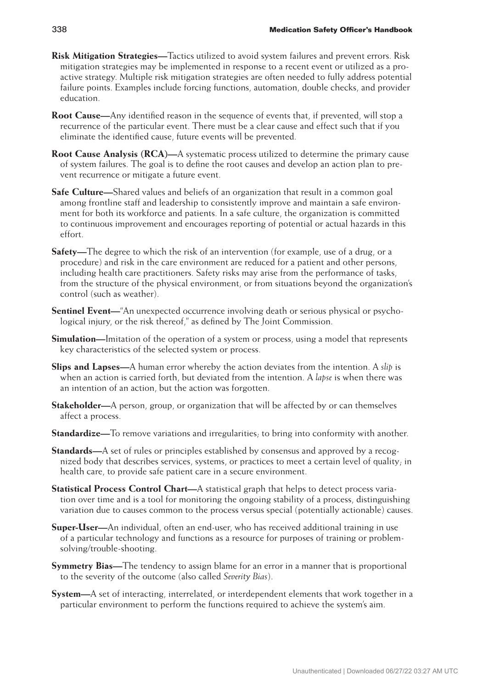- **Risk Mitigation Strategies—**Tactics utilized to avoid system failures and prevent errors. Risk mitigation strategies may be implemented in response to a recent event or utilized as a proactive strategy. Multiple risk mitigation strategies are often needed to fully address potential failure points. Examples include forcing functions, automation, double checks, and provider education.
- **Root Cause—**Any identified reason in the sequence of events that, if prevented, will stop a recurrence of the particular event. There must be a clear cause and effect such that if you eliminate the identified cause, future events will be prevented.
- **Root Cause Analysis (RCA)—**A systematic process utilized to determine the primary cause of system failures. The goal is to define the root causes and develop an action plan to prevent recurrence or mitigate a future event.
- **Safe Culture—**Shared values and beliefs of an organization that result in a common goal among frontline staff and leadership to consistently improve and maintain a safe environment for both its workforce and patients. In a safe culture, the organization is committed to continuous improvement and encourages reporting of potential or actual hazards in this effort.
- **Safety—**The degree to which the risk of an intervention (for example, use of a drug, or a procedure) and risk in the care environment are reduced for a patient and other persons, including health care practitioners. Safety risks may arise from the performance of tasks, from the structure of the physical environment, or from situations beyond the organization's control (such as weather).
- **Sentinel Event—**"An unexpected occurrence involving death or serious physical or psychological injury, or the risk thereof," as defined by The Joint Commission.
- **Simulation—**Imitation of the operation of a system or process, using a model that represents key characteristics of the selected system or process.
- **Slips and Lapses—**A human error whereby the action deviates from the intention. A *slip* is when an action is carried forth, but deviated from the intention. A *lapse* is when there was an intention of an action, but the action was forgotten.
- **Stakeholder—**A person, group, or organization that will be affected by or can themselves affect a process.
- **Standardize—**To remove variations and irregularities; to bring into conformity with another.
- **Standards—**A set of rules or principles established by consensus and approved by a recognized body that describes services, systems, or practices to meet a certain level of quality; in health care, to provide safe patient care in a secure environment.
- **Statistical Process Control Chart—**A statistical graph that helps to detect process variation over time and is a tool for monitoring the ongoing stability of a process, distinguishing variation due to causes common to the process versus special (potentially actionable) causes.
- **Super-User—**An individual, often an end-user, who has received additional training in use of a particular technology and functions as a resource for purposes of training or problemsolving/trouble-shooting.
- **Symmetry Bias—**The tendency to assign blame for an error in a manner that is proportional to the severity of the outcome (also called *Severity Bias*).
- **System—**A set of interacting, interrelated, or interdependent elements that work together in a particular environment to perform the functions required to achieve the system's aim.